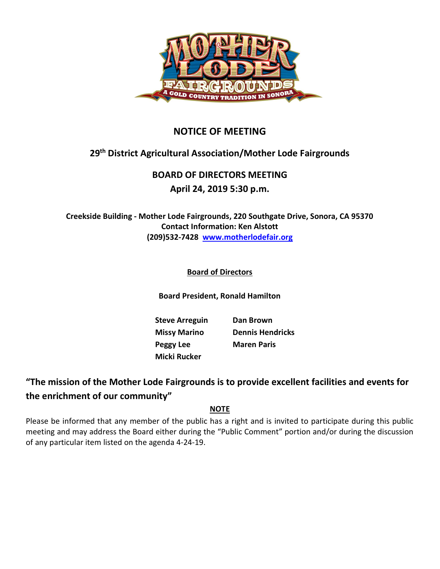

## NOTICE OF MEETING

# 29th District Agricultural Association/Mother Lode Fairgrounds

# BOARD OF DIRECTORS MEETING

### April 24, 2019 5:30 p.m.

Creekside Building - Mother Lode Fairgrounds, 220 Southgate Drive, Sonora, CA 95370 Contact Information: Ken Alstott (209)532-7428 www.motherlodefair.org

### Board of Directors

Board President, Ronald Hamilton

Steve Arreguin Dan Brown Peggy Lee Maren Paris Micki Rucker

Missy Marino Dennis Hendricks

## "The mission of the Mother Lode Fairgrounds is to provide excellent facilities and events for the enrichment of our community"

### NOTE

Please be informed that any member of the public has a right and is invited to participate during this public meeting and may address the Board either during the "Public Comment" portion and/or during the discussion of any particular item listed on the agenda 4-24-19.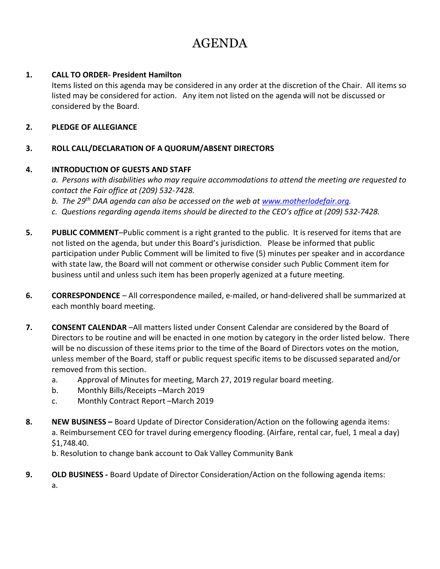# AGENDA

#### 1. CALL TO ORDER- President Hamilton

Items listed on this agenda may be considered in any order at the discretion of the Chair. All items so listed may be considered for action. Any item not listed on the agenda will not be discussed or considered by the Board.

#### 2. PLEDGE OF ALLEGIANCE

#### 3. ROLL CALL/DECLARATION OF A QUORUM/ABSENT DIRECTORS

#### 4. INTRODUCTION OF GUESTS AND STAFF

a. Persons with disabilities who may require accommodations to attend the meeting are requested to contact the Fair office at (209) 532-7428.

b. The 29<sup>th</sup> DAA agenda can also be accessed on the web at www.motherlodefair.org.

- c. Questions regarding agenda items should be directed to the CEO's office at (209) 532-7428.
- 5. PUBLIC COMMENT-Public comment is a right granted to the public. It is reserved for items that are not listed on the agenda, but under this Board's jurisdiction. Please be informed that public participation under Public Comment will be limited to five (5) minutes per speaker and in accordance with state law, the Board will not comment or otherwise consider such Public Comment item for business until and unless such item has been properly agenized at a future meeting.
- 6. CORRESPONDENCE All correspondence mailed, e-mailed, or hand-delivered shall be summarized at each monthly board meeting.
- 7. CONSENT CALENDAR –All matters listed under Consent Calendar are considered by the Board of Directors to be routine and will be enacted in one motion by category in the order listed below. There will be no discussion of these items prior to the time of the Board of Directors votes on the motion, unless member of the Board, staff or public request specific items to be discussed separated and/or removed from this section.
	- a. Approval of Minutes for meeting, March 27, 2019 regular board meeting.
	- b. Monthly Bills/Receipts –March 2019
	- c. Monthly Contract Report –March 2019
- 8. NEW BUSINESS Board Update of Director Consideration/Action on the following agenda items: a. Reimbursement CEO for travel during emergency flooding. (Airfare, rental car, fuel, 1 meal a day) \$1,748.40.

b. Resolution to change bank account to Oak Valley Community Bank

9. OLD BUSINESS - Board Update of Director Consideration/Action on the following agenda items: a.